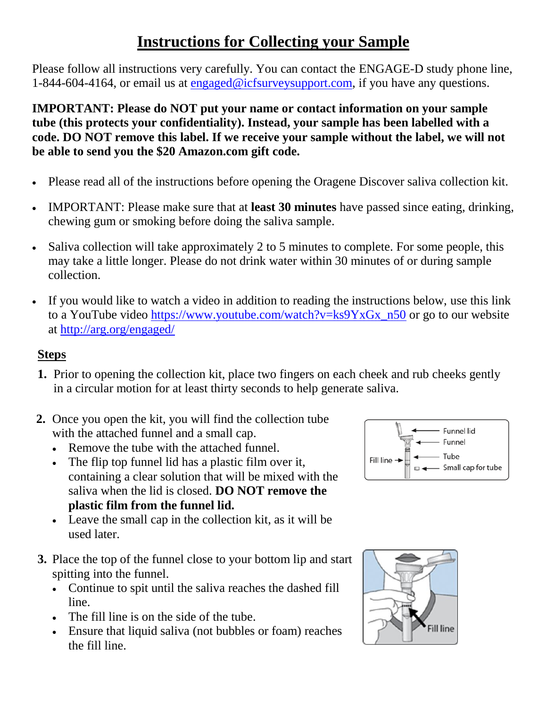## **Instructions for Collecting your Sample**

Please follow all instructions very carefully. You can contact the ENGAGE-D study phone line, 1-844-604-4164, or email us at [engaged@icfsurveysupport.com,](mailto:engaged@icfsurveysupport.com) if you have any questions.

**IMPORTANT: Please do NOT put your name or contact information on your sample tube (this protects your confidentiality). Instead, your sample has been labelled with a code. DO NOT remove this label. If we receive your sample without the label, we will not be able to send you the \$20 Amazon.com gift code.**

- Please read all of the instructions before opening the Oragene Discover saliva collection kit.
- IMPORTANT: Please make sure that at **least 30 minutes** have passed since eating, drinking, chewing gum or smoking before doing the saliva sample.
- Saliva collection will take approximately 2 to 5 minutes to complete. For some people, this may take a little longer. Please do not drink water within 30 minutes of or during sample collection.
- If you would like to watch a video in addition to reading the instructions below, use this link to a YouTube video [https://www.youtube.com/watch?v=ks9YxGx\\_n50](https://www.youtube.com/watch?v=ks9YxGx_n50) or go to our website at<http://arg.org/engaged/>

## **Steps**

- **1.** Prior to opening the collection kit, place two fingers on each cheek and rub cheeks gently in a circular motion for at least thirty seconds to help generate saliva.
- **2.** Once you open the kit, you will find the collection tube with the attached funnel and a small cap.
	- Remove the tube with the attached funnel.
	- The flip top funnel lid has a plastic film over it, containing a clear solution that will be mixed with the saliva when the lid is closed. **DO NOT remove the plastic film from the funnel lid.**
	- Leave the small cap in the collection kit, as it will be used later.
- **3.** Place the top of the funnel close to your bottom lip and start spitting into the funnel.
	- Continue to spit until the saliva reaches the dashed fill line.
	- The fill line is on the side of the tube.
	- Ensure that liquid saliva (not bubbles or foam) reaches the fill line.



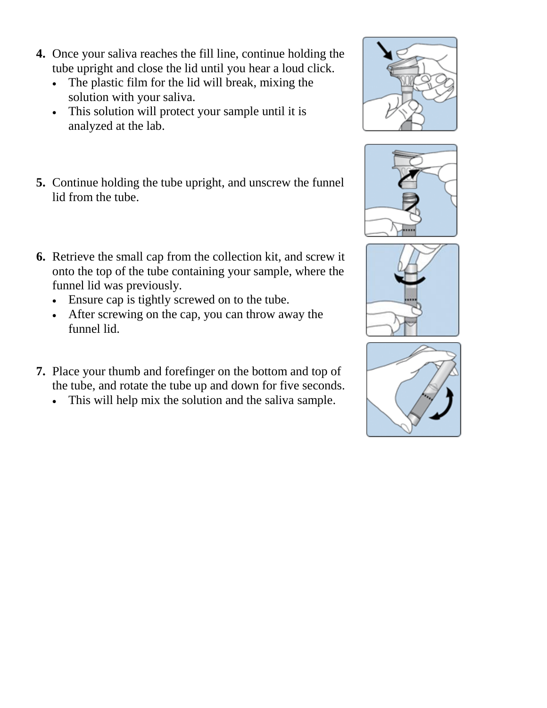- **4.** Once your saliva reaches the fill line, continue holding the tube upright and close the lid until you hear a loud click.
	- The plastic film for the lid will break, mixing the solution with your saliva.
	- This solution will protect your sample until it is analyzed at the lab.
- **5.** Continue holding the tube upright, and unscrew the funnel lid from the tube.
- **6.** Retrieve the small cap from the collection kit, and screw it onto the top of the tube containing your sample, where the funnel lid was previously.
	- Ensure cap is tightly screwed on to the tube.
	- After screwing on the cap, you can throw away the funnel lid.
- **7.** Place your thumb and forefinger on the bottom and top of the tube, and rotate the tube up and down for five seconds.
	- This will help mix the solution and the saliva sample.